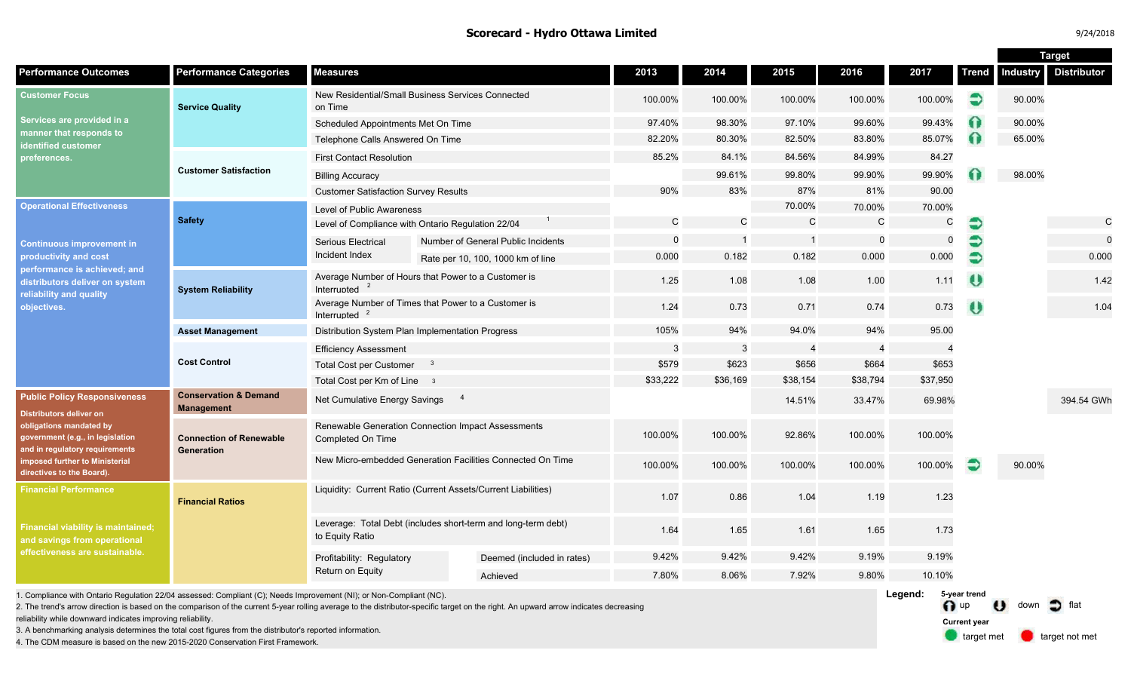#### **Scorecard - Hydro Ottawa Limited** 9/24/2018 12:00 12:00 12:00 12:00 12:00 12:00 12:00 12:00 12:00 12:00 12:00 12:00 12:00 12:00 12:00 12:00 12:00 12:00 12:00 12:00 12:00 12:00 12:00 12:00 12:00 12:00 12:00 12:00 12:00 12:

|                                                                                                                                                                                                                                |                                                |                                                                                  |  |                                    |             |              |                |                |                |                 | <b>Target</b>      |             |
|--------------------------------------------------------------------------------------------------------------------------------------------------------------------------------------------------------------------------------|------------------------------------------------|----------------------------------------------------------------------------------|--|------------------------------------|-------------|--------------|----------------|----------------|----------------|-----------------|--------------------|-------------|
| <b>Performance Outcomes</b>                                                                                                                                                                                                    | <b>Performance Categories</b>                  | <b>Measures</b>                                                                  |  | 2013                               | 2014        | 2015         | 2016           | 2017           | <b>Trend</b>   | <b>Industry</b> | <b>Distributor</b> |             |
| <b>Customer Focus</b><br>Services are provided in a<br>manner that responds to<br><b>identified customer</b><br>preferences.                                                                                                   | <b>Service Quality</b>                         | New Residential/Small Business Services Connected<br>on Time                     |  | 100.00%                            | 100.00%     | 100.00%      | 100.00%        | 100.00%        | €              | 90.00%          |                    |             |
|                                                                                                                                                                                                                                |                                                | Scheduled Appointments Met On Time                                               |  |                                    | 97.40%      | 98.30%       | 97.10%         | 99.60%         | 99.43%         |                 | 90.00%             |             |
|                                                                                                                                                                                                                                |                                                | Telephone Calls Answered On Time                                                 |  | 82.20%                             | 80.30%      | 82.50%       | 83.80%         | 85.07%         | ⋒              | 65.00%          |                    |             |
|                                                                                                                                                                                                                                | <b>Customer Satisfaction</b>                   | <b>First Contact Resolution</b>                                                  |  |                                    | 85.2%       | 84.1%        | 84.56%         | 84.99%         | 84.27          |                 |                    |             |
|                                                                                                                                                                                                                                |                                                | <b>Billing Accuracy</b>                                                          |  |                                    |             | 99.61%       | 99.80%         | 99.90%         | 99.90%         |                 | 98.00%             |             |
|                                                                                                                                                                                                                                |                                                | <b>Customer Satisfaction Survey Results</b>                                      |  | 90%                                | 83%         | 87%          | 81%            | 90.00          |                |                 |                    |             |
| <b>Operational Effectiveness</b><br><b>Continuous improvement in</b><br>productivity and cost<br>performance is achieved; and<br>distributors deliver on system<br>reliability and quality<br>objectives.                      | <b>Safety</b>                                  | Level of Public Awareness                                                        |  |                                    |             |              | 70.00%         | 70.00%         | 70.00%         |                 |                    |             |
|                                                                                                                                                                                                                                |                                                | Level of Compliance with Ontario Regulation 22/04                                |  | C                                  | $\mathbf C$ | $\mathbf C$  | $\mathsf{C}$   | $\mathsf C$    | €              |                 | C                  |             |
|                                                                                                                                                                                                                                |                                                | <b>Serious Electrical</b>                                                        |  | Number of General Public Incidents | $\Omega$    |              | $\overline{1}$ | $\mathbf 0$    | $\Omega$       |                 |                    | $\mathbf 0$ |
|                                                                                                                                                                                                                                |                                                | Incident Index                                                                   |  | Rate per 10, 100, 1000 km of line  | 0.000       | 0.182        | 0.182          | 0.000          | 0.000          | €               |                    | 0.000       |
|                                                                                                                                                                                                                                | <b>System Reliability</b>                      | Average Number of Hours that Power to a Customer is<br>Interrupted               |  |                                    | 1.25        | 1.08         | 1.08           | 1.00           | 1.11           | $\bullet$       |                    | 1.42        |
|                                                                                                                                                                                                                                |                                                | Average Number of Times that Power to a Customer is<br>Interrupted $2$           |  | 1.24                               | 0.73        | 0.71         | 0.74           | 0.73           | $\theta$       |                 | 1.04               |             |
|                                                                                                                                                                                                                                | <b>Asset Management</b>                        | Distribution System Plan Implementation Progress                                 |  |                                    | 105%        | 94%          | 94.0%          | 94%            | 95.00          |                 |                    |             |
|                                                                                                                                                                                                                                | <b>Cost Control</b>                            | <b>Efficiency Assessment</b>                                                     |  |                                    | 3           | $\mathbf{3}$ | $\overline{4}$ | $\overline{4}$ | $\overline{4}$ |                 |                    |             |
|                                                                                                                                                                                                                                |                                                | <b>Total Cost per Customer</b><br>$\mathbf{3}$                                   |  |                                    | \$579       | \$623        | \$656          | \$664          | \$653          |                 |                    |             |
|                                                                                                                                                                                                                                |                                                | Total Cost per Km of Line 3                                                      |  |                                    | \$33,222    | \$36,169     | \$38,154       | \$38,794       | \$37,950       |                 |                    |             |
| <b>Public Policy Responsiveness</b><br>Distributors deliver on<br>obligations mandated by<br>government (e.g., in legislation<br>and in regulatory requirements<br>imposed further to Ministerial<br>directives to the Board). | <b>Conservation &amp; Demand</b><br>Management | $\overline{4}$<br>Net Cumulative Energy Savings                                  |  |                                    |             |              | 14.51%         | 33.47%         | 69.98%         |                 |                    | 394.54 GWh  |
|                                                                                                                                                                                                                                | <b>Connection of Renewable</b><br>Generation   | Renewable Generation Connection Impact Assessments<br>Completed On Time          |  |                                    | 100.00%     | 100.00%      | 92.86%         | 100.00%        | 100.00%        |                 |                    |             |
|                                                                                                                                                                                                                                |                                                | New Micro-embedded Generation Facilities Connected On Time                       |  |                                    | 100.00%     | 100.00%      | 100.00%        | 100.00%        | 100.00%        |                 | 90.00%             |             |
| <b>Financial Performance</b><br><b>Financial viability is maintained;</b><br>and savings from operational<br>effectiveness are sustainable.                                                                                    | <b>Financial Ratios</b>                        | Liquidity: Current Ratio (Current Assets/Current Liabilities)                    |  |                                    | 1.07        | 0.86         | 1.04           | 1.19           | 1.23           |                 |                    |             |
|                                                                                                                                                                                                                                |                                                | Leverage: Total Debt (includes short-term and long-term debt)<br>to Equity Ratio |  |                                    | 1.64        | 1.65         | 1.61           | 1.65           | 1.73           |                 |                    |             |
|                                                                                                                                                                                                                                |                                                | Profitability: Regulatory                                                        |  | Deemed (included in rates)         | 9.42%       | 9.42%        | 9.42%          | 9.19%          | 9.19%          |                 |                    |             |
|                                                                                                                                                                                                                                |                                                | Return on Equity                                                                 |  | Achieved                           | 7.80%       | 8.06%        | 7.92%          | 9.80%          | 10.10%         |                 |                    |             |
| Legend:<br>5-year trend<br>1. Compliance with Ontario Regulation 22/04 assessed: Compliant (C); Needs Improvement (NI); or Non-Compliant (NC).<br>and the contract of the contract of                                          |                                                |                                                                                  |  |                                    |             |              |                |                |                |                 |                    |             |

2. The trend's arrow direction is based on the comparison of the current 5-year rolling average to the distributor-specific target on the right. An upward arrow indicates decreasing

reliability while downward indicates improving reliability.

3. A benchmarking analysis determines the total cost figures from the distributor's reported information.

4. The CDM measure is based on the new 2015-2020 Conservation First Framework.

n up U down of flat target met **target not met Current year**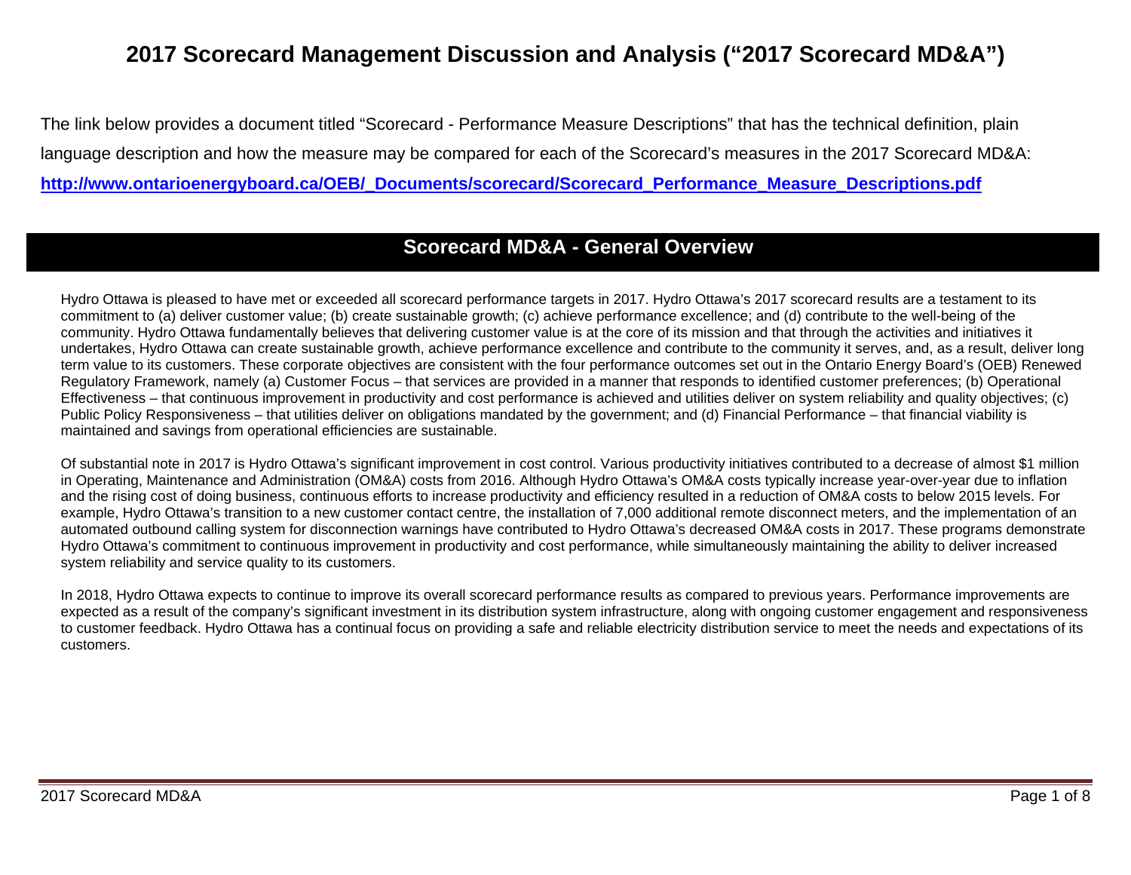# **2017 Scorecard Management Discussion and Analysis ("2017 Scorecard MD&A")**

The link below provides a document titled "Scorecard - Performance Measure Descriptions" that has the technical definition, plain language description and how the measure may be compared for each of the Scorecard's measures in the 2017 Scorecard MD&A: **[http://www.ontarioenergyboard.ca/OEB/\\_Documents/scorecard/Scorecard\\_Performance\\_Measure\\_Descriptions.pdf](http://www.ontarioenergyboard.ca/OEB/_Documents/scorecard/Scorecard_Performance_Measure_Descriptions.pdf)**

## **Scorecard MD&A - General Overview**

Hydro Ottawa is pleased to have met or exceeded all scorecard performance targets in 2017. Hydro Ottawa's 2017 scorecard results are a testament to its commitment to (a) deliver customer value; (b) create sustainable growth; (c) achieve performance excellence; and (d) contribute to the well-being of the community. Hydro Ottawa fundamentally believes that delivering customer value is at the core of its mission and that through the activities and initiatives it undertakes, Hydro Ottawa can create sustainable growth, achieve performance excellence and contribute to the community it serves, and, as a result, deliver long term value to its customers. These corporate objectives are consistent with the four performance outcomes set out in the Ontario Energy Board's (OEB) Renewed Regulatory Framework, namely (a) Customer Focus – that services are provided in a manner that responds to identified customer preferences; (b) Operational Effectiveness – that continuous improvement in productivity and cost performance is achieved and utilities deliver on system reliability and quality objectives; (c) Public Policy Responsiveness – that utilities deliver on obligations mandated by the government; and (d) Financial Performance – that financial viability is maintained and savings from operational efficiencies are sustainable.

Of substantial note in 2017 is Hydro Ottawa's significant improvement in cost control. Various productivity initiatives contributed to a decrease of almost \$1 million in Operating, Maintenance and Administration (OM&A) costs from 2016. Although Hydro Ottawa's OM&A costs typically increase year-over-year due to inflation and the rising cost of doing business, continuous efforts to increase productivity and efficiency resulted in a reduction of OM&A costs to below 2015 levels. For example, Hydro Ottawa's transition to a new customer contact centre, the installation of 7,000 additional remote disconnect meters, and the implementation of an automated outbound calling system for disconnection warnings have contributed to Hydro Ottawa's decreased OM&A costs in 2017. These programs demonstrate Hydro Ottawa's commitment to continuous improvement in productivity and cost performance, while simultaneously maintaining the ability to deliver increased system reliability and service quality to its customers.

In 2018, Hydro Ottawa expects to continue to improve its overall scorecard performance results as compared to previous years. Performance improvements are expected as a result of the company's significant investment in its distribution system infrastructure, along with ongoing customer engagement and responsiveness to customer feedback. Hydro Ottawa has a continual focus on providing a safe and reliable electricity distribution service to meet the needs and expectations of its customers.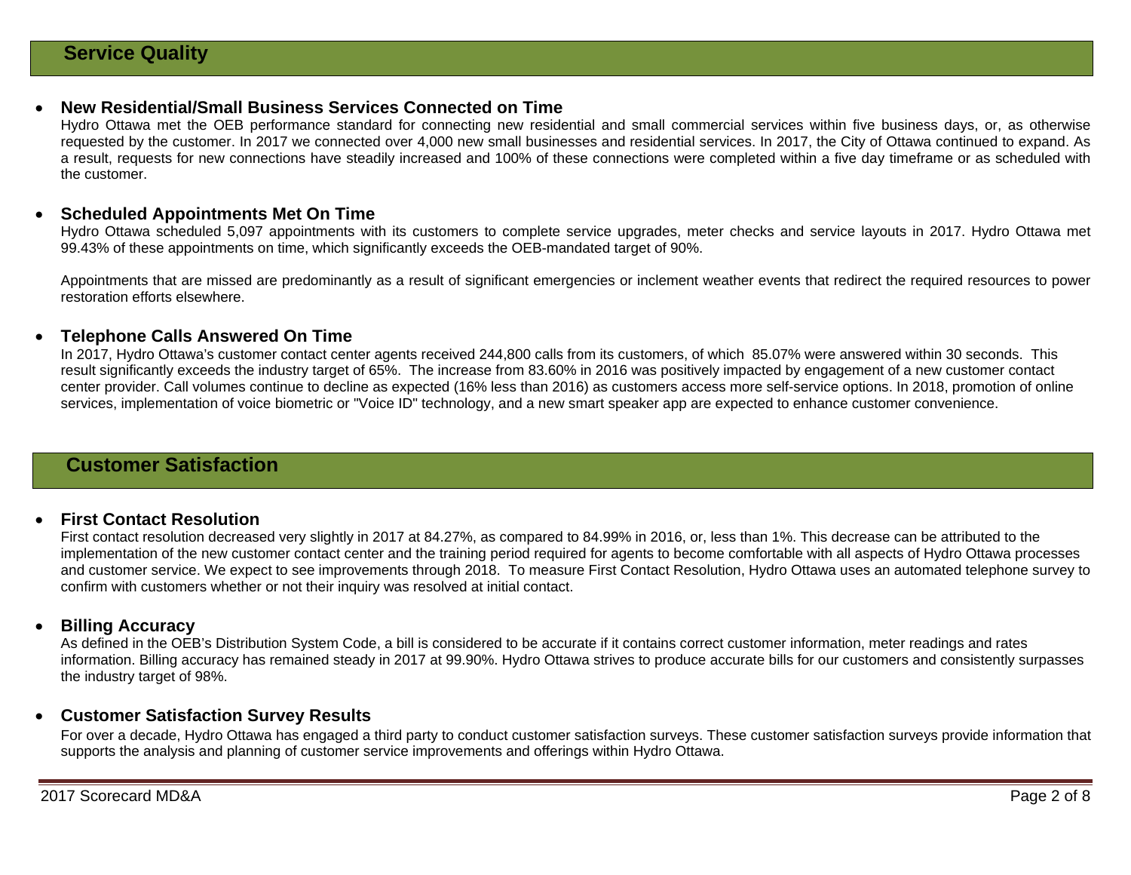#### • **New Residential/Small Business Services Connected on Time**

Hydro Ottawa met the OEB performance standard for connecting new residential and small commercial services within five business days, or, as otherwise requested by the customer. In 2017 we connected over 4,000 new small businesses and residential services. In 2017, the City of Ottawa continued to expand. As a result, requests for new connections have steadily increased and 100% of these connections were completed within a five day timeframe or as scheduled with the customer.

#### • **Scheduled Appointments Met On Time**

Hydro Ottawa scheduled 5,097 appointments with its customers to complete service upgrades, meter checks and service layouts in 2017. Hydro Ottawa met 99.43% of these appointments on time, which significantly exceeds the OEB-mandated target of 90%.

Appointments that are missed are predominantly as a result of significant emergencies or inclement weather events that redirect the required resources to power restoration efforts elsewhere.

#### • **Telephone Calls Answered On Time**

In 2017, Hydro Ottawa's customer contact center agents received 244,800 calls from its customers, of which 85.07% were answered within 30 seconds. This result significantly exceeds the industry target of 65%. The increase from 83.60% in 2016 was positively impacted by engagement of a new customer contact center provider. Call volumes continue to decline as expected (16% less than 2016) as customers access more self-service options. In 2018, promotion of online services, implementation of voice biometric or "Voice ID" technology, and a new smart speaker app are expected to enhance customer convenience.

## **Customer Satisfaction**

#### • **First Contact Resolution**

First contact resolution decreased very slightly in 2017 at 84.27%, as compared to 84.99% in 2016, or, less than 1%. This decrease can be attributed to the implementation of the new customer contact center and the training period required for agents to become comfortable with all aspects of Hydro Ottawa processes and customer service. We expect to see improvements through 2018. To measure First Contact Resolution, Hydro Ottawa uses an automated telephone survey to confirm with customers whether or not their inquiry was resolved at initial contact.

#### • **Billing Accuracy**

As defined in the OEB's Distribution System Code, a bill is considered to be accurate if it contains correct customer information, meter readings and rates information. Billing accuracy has remained steady in 2017 at 99.90%. Hydro Ottawa strives to produce accurate bills for our customers and consistently surpasses the industry target of 98%.

#### • **Customer Satisfaction Survey Results**

For over a decade, Hydro Ottawa has engaged a third party to conduct customer satisfaction surveys. These customer satisfaction surveys provide information that supports the analysis and planning of customer service improvements and offerings within Hydro Ottawa.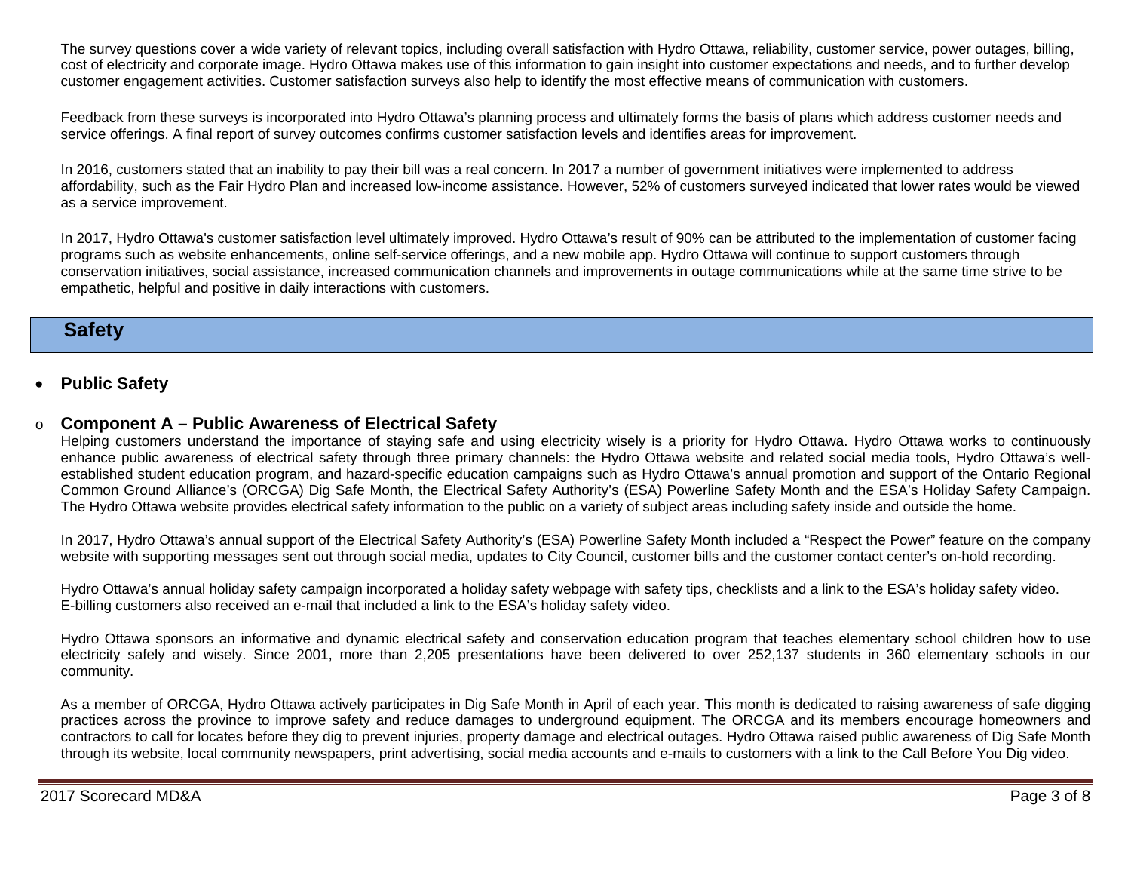The survey questions cover a wide variety of relevant topics, including overall satisfaction with Hydro Ottawa, reliability, customer service, power outages, billing, cost of electricity and corporate image. Hydro Ottawa makes use of this information to gain insight into customer expectations and needs, and to further develop customer engagement activities. Customer satisfaction surveys also help to identify the most effective means of communication with customers.

Feedback from these surveys is incorporated into Hydro Ottawa's planning process and ultimately forms the basis of plans which address customer needs and service offerings. A final report of survey outcomes confirms customer satisfaction levels and identifies areas for improvement.

In 2016, customers stated that an inability to pay their bill was a real concern. In 2017 a number of government initiatives were implemented to address affordability, such as the Fair Hydro Plan and increased low-income assistance. However, 52% of customers surveyed indicated that lower rates would be viewed as a service improvement.

In 2017, Hydro Ottawa's customer satisfaction level ultimately improved. Hydro Ottawa's result of 90% can be attributed to the implementation of customer facing programs such as website enhancements, online self-service offerings, and a new mobile app. Hydro Ottawa will continue to support customers through conservation initiatives, social assistance, increased communication channels and improvements in outage communications while at the same time strive to be empathetic, helpful and positive in daily interactions with customers.

## **Safety**

• **Public Safety** 

#### o **Component A – Public Awareness of Electrical Safety**

Helping customers understand the importance of staying safe and using electricity wisely is a priority for Hydro Ottawa. Hydro Ottawa works to continuously enhance public awareness of electrical safety through three primary channels: the Hydro Ottawa website and related social media tools, Hydro Ottawa's wellestablished student education program, and hazard-specific education campaigns such as Hydro Ottawa's annual promotion and support of the Ontario Regional Common Ground Alliance's (ORCGA) Dig Safe Month, the Electrical Safety Authority's (ESA) Powerline Safety Month and the ESA's Holiday Safety Campaign. The Hydro Ottawa website provides electrical safety information to the public on a variety of subject areas including safety inside and outside the home.

In 2017, Hydro Ottawa's annual support of the Electrical Safety Authority's (ESA) Powerline Safety Month included a "Respect the Power" feature on the company website with supporting messages sent out through social media, updates to City Council, customer bills and the customer contact center's on-hold recording.

Hydro Ottawa's annual holiday safety campaign incorporated a holiday safety webpage with safety tips, checklists and a link to the ESA's holiday safety video. E-billing customers also received an e-mail that included a link to the ESA's holiday safety video.

Hydro Ottawa sponsors an informative and dynamic electrical safety and conservation education program that teaches elementary school children how to use electricity safely and wisely. Since 2001, more than 2,205 presentations have been delivered to over 252,137 students in 360 elementary schools in our community.

As a member of ORCGA, Hydro Ottawa actively participates in Dig Safe Month in April of each year. This month is dedicated to raising awareness of safe digging practices across the province to improve safety and reduce damages to underground equipment. The ORCGA and its members encourage homeowners and contractors to call for locates before they dig to prevent injuries, property damage and electrical outages. Hydro Ottawa raised public awareness of Dig Safe Month through its website, local community newspapers, print advertising, social media accounts and e-mails to customers with a link to the Call Before You Dig video.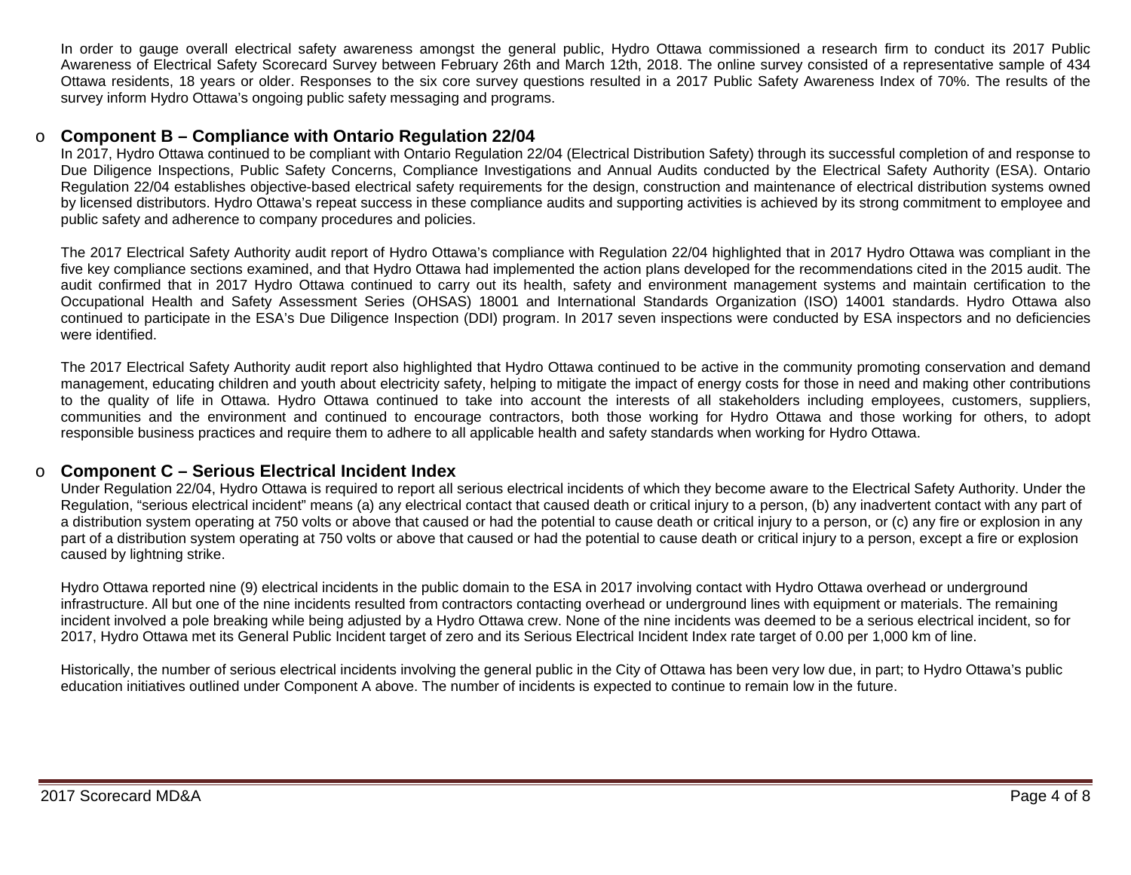In order to gauge overall electrical safety awareness amongst the general public, Hydro Ottawa commissioned a research firm to conduct its 2017 Public Awareness of Electrical Safety Scorecard Survey between February 26th and March 12th, 2018. The online survey consisted of a representative sample of 434 Ottawa residents, 18 years or older. Responses to the six core survey questions resulted in a 2017 Public Safety Awareness Index of 70%. The results of the survey inform Hydro Ottawa's ongoing public safety messaging and programs.

#### o **Component B – Compliance with Ontario Regulation 22/04**

In 2017, Hydro Ottawa continued to be compliant with Ontario Regulation 22/04 (Electrical Distribution Safety) through its successful completion of and response to Due Diligence Inspections, Public Safety Concerns, Compliance Investigations and Annual Audits conducted by the Electrical Safety Authority (ESA). Ontario Regulation 22/04 establishes objective-based electrical safety requirements for the design, construction and maintenance of electrical distribution systems owned by licensed distributors. Hydro Ottawa's repeat success in these compliance audits and supporting activities is achieved by its strong commitment to employee and public safety and adherence to company procedures and policies.

The 2017 Electrical Safety Authority audit report of Hydro Ottawa's compliance with Regulation 22/04 highlighted that in 2017 Hydro Ottawa was compliant in the five key compliance sections examined, and that Hydro Ottawa had implemented the action plans developed for the recommendations cited in the 2015 audit. The audit confirmed that in 2017 Hydro Ottawa continued to carry out its health, safety and environment management systems and maintain certification to the Occupational Health and Safety Assessment Series (OHSAS) 18001 and International Standards Organization (ISO) 14001 standards. Hydro Ottawa also continued to participate in the ESA's Due Diligence Inspection (DDI) program. In 2017 seven inspections were conducted by ESA inspectors and no deficiencies were identified.

The 2017 Electrical Safety Authority audit report also highlighted that Hydro Ottawa continued to be active in the community promoting conservation and demand management, educating children and youth about electricity safety, helping to mitigate the impact of energy costs for those in need and making other contributions to the quality of life in Ottawa. Hydro Ottawa continued to take into account the interests of all stakeholders including employees, customers, suppliers, communities and the environment and continued to encourage contractors, both those working for Hydro Ottawa and those working for others, to adopt responsible business practices and require them to adhere to all applicable health and safety standards when working for Hydro Ottawa.

#### o **Component C – Serious Electrical Incident Index**

Under Regulation 22/04, Hydro Ottawa is required to report all serious electrical incidents of which they become aware to the Electrical Safety Authority. Under the Regulation, "serious electrical incident" means (a) any electrical contact that caused death or critical injury to a person, (b) any inadvertent contact with any part of a distribution system operating at 750 volts or above that caused or had the potential to cause death or critical injury to a person, or (c) any fire or explosion in any part of a distribution system operating at 750 volts or above that caused or had the potential to cause death or critical injury to a person, except a fire or explosion caused by lightning strike.

Hydro Ottawa reported nine (9) electrical incidents in the public domain to the ESA in 2017 involving contact with Hydro Ottawa overhead or underground infrastructure. All but one of the nine incidents resulted from contractors contacting overhead or underground lines with equipment or materials. The remaining incident involved a pole breaking while being adjusted by a Hydro Ottawa crew. None of the nine incidents was deemed to be a serious electrical incident, so for 2017, Hydro Ottawa met its General Public Incident target of zero and its Serious Electrical Incident Index rate target of 0.00 per 1,000 km of line.

Historically, the number of serious electrical incidents involving the general public in the City of Ottawa has been very low due, in part; to Hydro Ottawa's public education initiatives outlined under Component A above. The number of incidents is expected to continue to remain low in the future.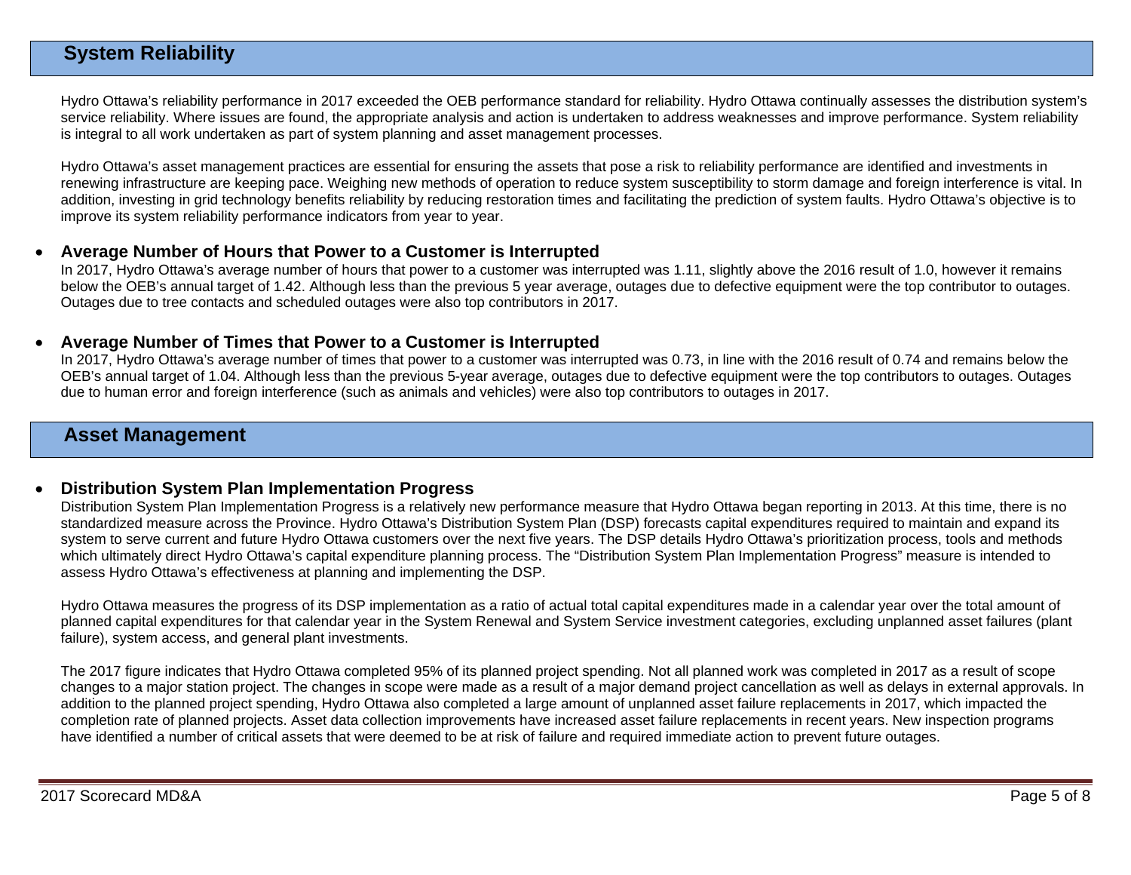## **System Reliability**

Hydro Ottawa's reliability performance in 2017 exceeded the OEB performance standard for reliability. Hydro Ottawa continually assesses the distribution system's service reliability. Where issues are found, the appropriate analysis and action is undertaken to address weaknesses and improve performance. System reliability is integral to all work undertaken as part of system planning and asset management processes.

Hydro Ottawa's asset management practices are essential for ensuring the assets that pose a risk to reliability performance are identified and investments in renewing infrastructure are keeping pace. Weighing new methods of operation to reduce system susceptibility to storm damage and foreign interference is vital. In addition, investing in grid technology benefits reliability by reducing restoration times and facilitating the prediction of system faults. Hydro Ottawa's objective is to improve its system reliability performance indicators from year to year.

#### • **Average Number of Hours that Power to a Customer is Interrupted**

In 2017, Hydro Ottawa's average number of hours that power to a customer was interrupted was 1.11, slightly above the 2016 result of 1.0, however it remains below the OEB's annual target of 1.42. Although less than the previous 5 year average, outages due to defective equipment were the top contributor to outages. Outages due to tree contacts and scheduled outages were also top contributors in 2017.

#### • **Average Number of Times that Power to a Customer is Interrupted**

In 2017, Hydro Ottawa's average number of times that power to a customer was interrupted was 0.73, in line with the 2016 result of 0.74 and remains below the OEB's annual target of 1.04. Although less than the previous 5-year average, outages due to defective equipment were the top contributors to outages. Outages due to human error and foreign interference (such as animals and vehicles) were also top contributors to outages in 2017.

### **Asset Management**

#### • **Distribution System Plan Implementation Progress**

Distribution System Plan Implementation Progress is a relatively new performance measure that Hydro Ottawa began reporting in 2013. At this time, there is no standardized measure across the Province. Hydro Ottawa's Distribution System Plan (DSP) forecasts capital expenditures required to maintain and expand its system to serve current and future Hydro Ottawa customers over the next five years. The DSP details Hydro Ottawa's prioritization process, tools and methods which ultimately direct Hydro Ottawa's capital expenditure planning process. The "Distribution System Plan Implementation Progress" measure is intended to assess Hydro Ottawa's effectiveness at planning and implementing the DSP.

Hydro Ottawa measures the progress of its DSP implementation as a ratio of actual total capital expenditures made in a calendar year over the total amount of planned capital expenditures for that calendar year in the System Renewal and System Service investment categories, excluding unplanned asset failures (plant failure), system access, and general plant investments.

The 2017 figure indicates that Hydro Ottawa completed 95% of its planned project spending. Not all planned work was completed in 2017 as a result of scope changes to a major station project. The changes in scope were made as a result of a major demand project cancellation as well as delays in external approvals. In addition to the planned project spending, Hydro Ottawa also completed a large amount of unplanned asset failure replacements in 2017, which impacted the completion rate of planned projects. Asset data collection improvements have increased asset failure replacements in recent years. New inspection programs have identified a number of critical assets that were deemed to be at risk of failure and required immediate action to prevent future outages.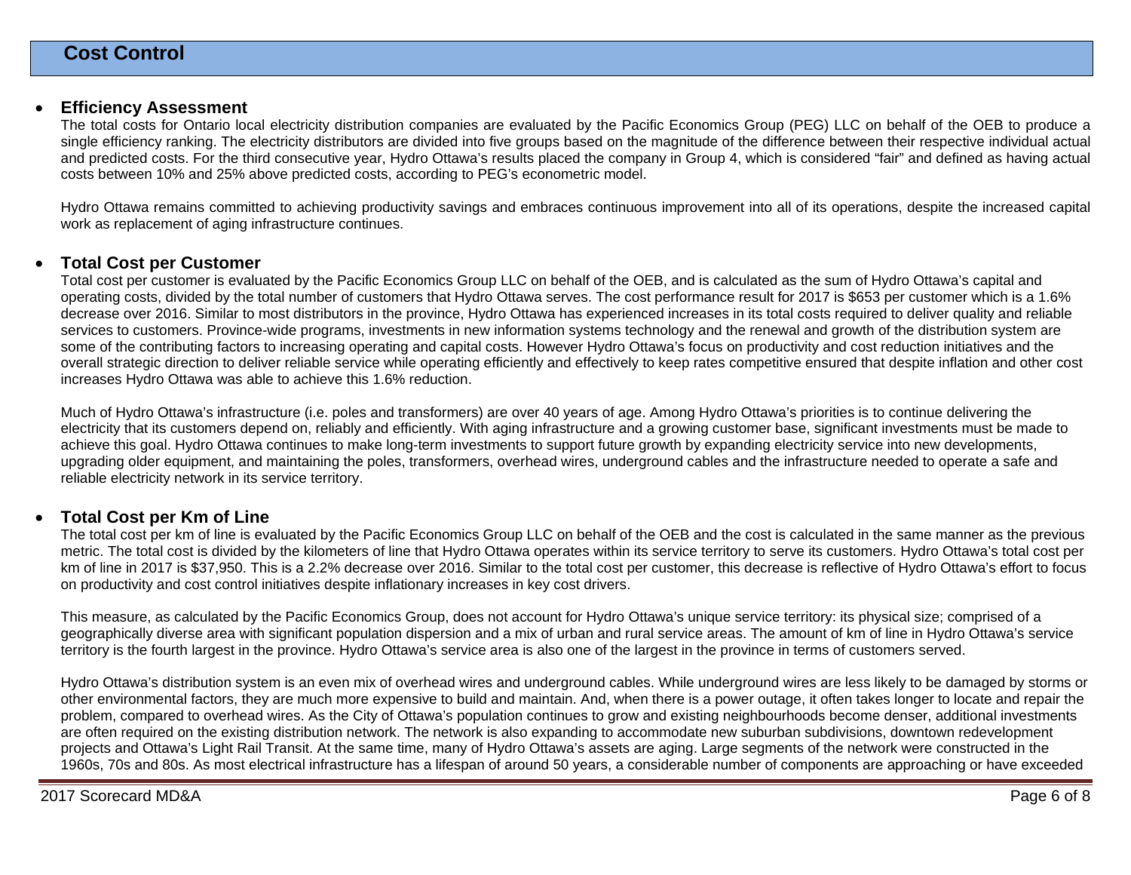#### • **Efficiency Assessment**

The total costs for Ontario local electricity distribution companies are evaluated by the Pacific Economics Group (PEG) LLC on behalf of the OEB to produce a single efficiency ranking. The electricity distributors are divided into five groups based on the magnitude of the difference between their respective individual actual and predicted costs. For the third consecutive year, Hydro Ottawa's results placed the company in Group 4, which is considered "fair" and defined as having actual costs between 10% and 25% above predicted costs, according to PEG's econometric model.

Hydro Ottawa remains committed to achieving productivity savings and embraces continuous improvement into all of its operations, despite the increased capital work as replacement of aging infrastructure continues.

#### • **Total Cost per Customer**

Total cost per customer is evaluated by the Pacific Economics Group LLC on behalf of the OEB, and is calculated as the sum of Hydro Ottawa's capital and operating costs, divided by the total number of customers that Hydro Ottawa serves. The cost performance result for 2017 is \$653 per customer which is a 1.6% decrease over 2016. Similar to most distributors in the province, Hydro Ottawa has experienced increases in its total costs required to deliver quality and reliable services to customers. Province-wide programs, investments in new information systems technology and the renewal and growth of the distribution system are some of the contributing factors to increasing operating and capital costs. However Hydro Ottawa's focus on productivity and cost reduction initiatives and the overall strategic direction to deliver reliable service while operating efficiently and effectively to keep rates competitive ensured that despite inflation and other cost increases Hydro Ottawa was able to achieve this 1.6% reduction.

Much of Hydro Ottawa's infrastructure (i.e. poles and transformers) are over 40 years of age. Among Hydro Ottawa's priorities is to continue delivering the electricity that its customers depend on, reliably and efficiently. With aging infrastructure and a growing customer base, significant investments must be made to achieve this goal. Hydro Ottawa continues to make long-term investments to support future growth by expanding electricity service into new developments, upgrading older equipment, and maintaining the poles, transformers, overhead wires, underground cables and the infrastructure needed to operate a safe and reliable electricity network in its service territory.

#### • **Total Cost per Km of Line**

The total cost per km of line is evaluated by the Pacific Economics Group LLC on behalf of the OEB and the cost is calculated in the same manner as the previous metric. The total cost is divided by the kilometers of line that Hydro Ottawa operates within its service territory to serve its customers. Hydro Ottawa's total cost per km of line in 2017 is \$37,950. This is a 2.2% decrease over 2016. Similar to the total cost per customer, this decrease is reflective of Hydro Ottawa's effort to focus on productivity and cost control initiatives despite inflationary increases in key cost drivers.

This measure, as calculated by the Pacific Economics Group, does not account for Hydro Ottawa's unique service territory: its physical size; comprised of a geographically diverse area with significant population dispersion and a mix of urban and rural service areas. The amount of km of line in Hydro Ottawa's service territory is the fourth largest in the province. Hydro Ottawa's service area is also one of the largest in the province in terms of customers served.

Hydro Ottawa's distribution system is an even mix of overhead wires and underground cables. While underground wires are less likely to be damaged by storms or other environmental factors, they are much more expensive to build and maintain. And, when there is a power outage, it often takes longer to locate and repair the problem, compared to overhead wires. As the City of Ottawa's population continues to grow and existing neighbourhoods become denser, additional investments are often required on the existing distribution network. The network is also expanding to accommodate new suburban subdivisions, downtown redevelopment projects and Ottawa's Light Rail Transit. At the same time, many of Hydro Ottawa's assets are aging. Large segments of the network were constructed in the 1960s, 70s and 80s. As most electrical infrastructure has a lifespan of around 50 years, a considerable number of components are approaching or have exceeded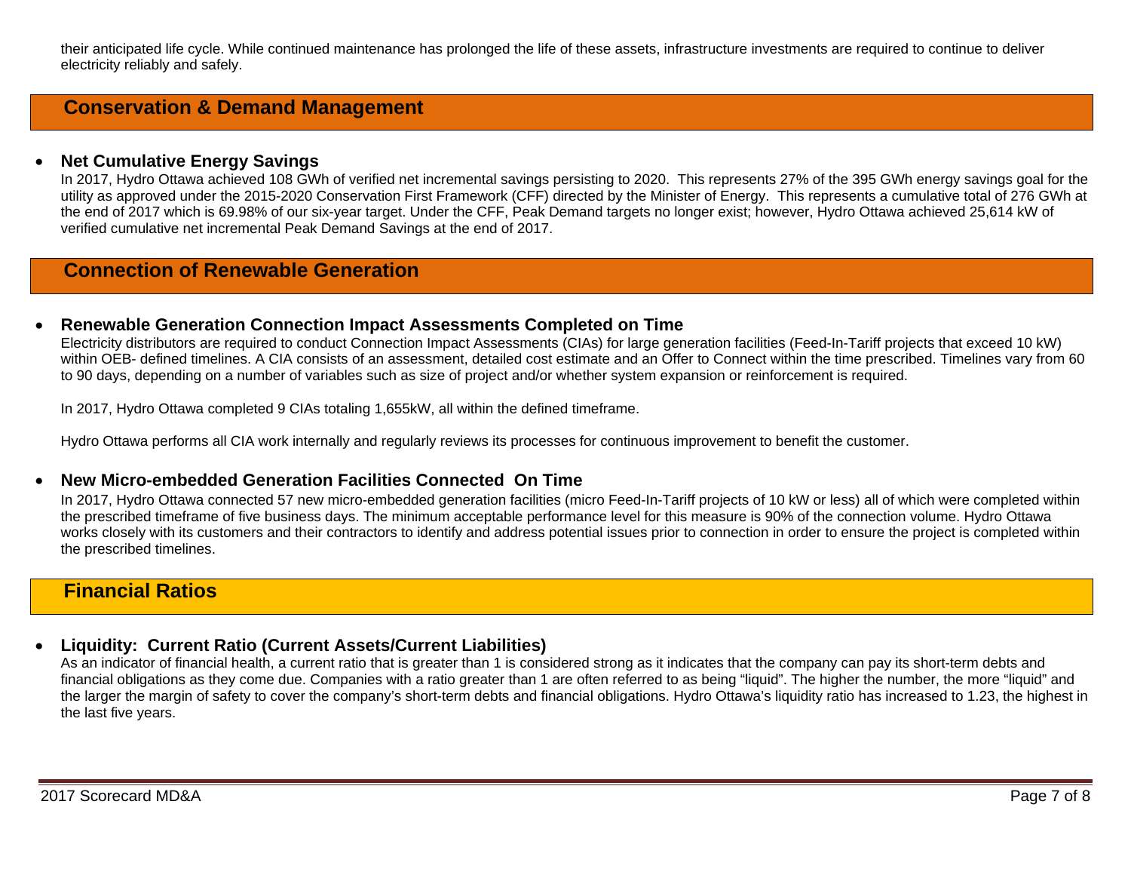their anticipated life cycle. While continued maintenance has prolonged the life of these assets, infrastructure investments are required to continue to deliver electricity reliably and safely.

## **Conservation & Demand Management**

#### • **Net Cumulative Energy Savings**

In 2017, Hydro Ottawa achieved 108 GWh of verified net incremental savings persisting to 2020. This represents 27% of the 395 GWh energy savings goal for the utility as approved under the 2015-2020 Conservation First Framework (CFF) directed by the Minister of Energy. This represents a cumulative total of 276 GWh at the end of 2017 which is 69.98% of our six-year target. Under the CFF, Peak Demand targets no longer exist; however, Hydro Ottawa achieved 25,614 kW of verified cumulative net incremental Peak Demand Savings at the end of 2017.

## **Connection of Renewable Generation**

#### • **Renewable Generation Connection Impact Assessments Completed on Time**

Electricity distributors are required to conduct Connection Impact Assessments (CIAs) for large generation facilities (Feed-In-Tariff projects that exceed 10 kW) within OEB- defined timelines. A CIA consists of an assessment, detailed cost estimate and an Offer to Connect within the time prescribed. Timelines vary from 60 to 90 days, depending on a number of variables such as size of project and/or whether system expansion or reinforcement is required.

In 2017, Hydro Ottawa completed 9 CIAs totaling 1,655kW, all within the defined timeframe.

Hydro Ottawa performs all CIA work internally and regularly reviews its processes for continuous improvement to benefit the customer.

#### • **New Micro-embedded Generation Facilities Connected On Time**

In 2017, Hydro Ottawa connected 57 new micro-embedded generation facilities (micro Feed-In-Tariff projects of 10 kW or less) all of which were completed within the prescribed timeframe of five business days. The minimum acceptable performance level for this measure is 90% of the connection volume. Hydro Ottawa works closely with its customers and their contractors to identify and address potential issues prior to connection in order to ensure the project is completed within the prescribed timelines.

## **Financial Ratios**

#### • **Liquidity: Current Ratio (Current Assets/Current Liabilities)**

As an indicator of financial health, a current ratio that is greater than 1 is considered strong as it indicates that the company can pay its short-term debts and financial obligations as they come due. Companies with a ratio greater than 1 are often referred to as being "liquid". The higher the number, the more "liquid" and the larger the margin of safety to cover the company's short-term debts and financial obligations. Hydro Ottawa's liquidity ratio has increased to 1.23, the highest in the last five years.